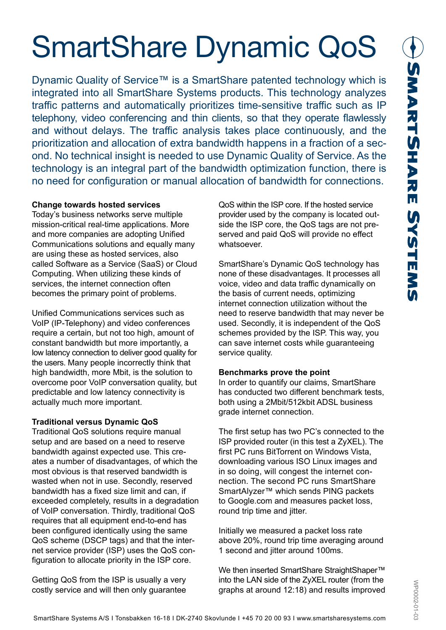# SmartShare Dynamic QoS

Dynamic Quality of Service™ is a SmartShare patented technology which is integrated into all SmartShare Systems products. This technology analyzes traffic patterns and automatically prioritizes time-sensitive traffic such as IP telephony, video conferencing and thin clients, so that they operate flawlessly and without delays. The traffic analysis takes place continuously, and the prioritization and allocation of extra bandwidth happens in a fraction of a second. No technical insight is needed to use Dynamic Quality of Service. As the technology is an integral part of the bandwidth optimization function, there is no need for configuration or manual allocation of bandwidth for connections.

### **Change towards hosted services**

Today's business networks serve multiple mission-critical real-time applications. More and more companies are adopting Unified Communications solutions and equally many are using these as hosted services, also called Software as a Service (SaaS) or Cloud Computing. When utilizing these kinds of services, the internet connection often becomes the primary point of problems.

Unified Communications services such as VoIP (IP-Telephony) and video conferences require a certain, but not too high, amount of constant bandwidth but more importantly, a low latency connection to deliver good quality for the users. Many people incorrectly think that high bandwidth, more Mbit, is the solution to overcome poor VoIP conversation quality, but predictable and low latency connectivity is actually much more important.

# **Traditional versus Dynamic QoS**

Traditional QoS solutions require manual setup and are based on a need to reserve bandwidth against expected use. This creates a number of disadvantages, of which the most obvious is that reserved bandwidth is wasted when not in use. Secondly, reserved bandwidth has a fixed size limit and can, if exceeded completely, results in a degradation of VoIP conversation. Thirdly, traditional QoS requires that all equipment end-to-end has been configured identically using the same QoS scheme (DSCP tags) and that the internet service provider (ISP) uses the QoS configuration to allocate priority in the ISP core.

Getting QoS from the ISP is usually a very costly service and will then only guarantee QoS within the ISP core. If the hosted service provider used by the company is located outside the ISP core, the QoS tags are not preserved and paid QoS will provide no effect whatsoever.

SmartShare's Dynamic QoS technology has none of these disadvantages. It processes all voice, video and data traffic dynamically on the basis of current needs, optimizing internet connection utilization without the need to reserve bandwidth that may never be used. Secondly, it is independent of the QoS schemes provided by the ISP. This way, you can save internet costs while guaranteeing service quality.

# **Benchmarks prove the point**

In order to quantify our claims, SmartShare has conducted two different benchmark tests, both using a 2Mbit/512kbit ADSL business grade internet connection.

The first setup has two PC's connected to the ISP provided router (in this test a ZyXEL). The first PC runs BitTorrent on Windows Vista, downloading various ISO Linux images and in so doing, will congest the internet connection. The second PC runs SmartShare SmartAlyzer™ which sends PING packets to Google.com and measures packet loss, round trip time and jitter.

Initially we measured a packet loss rate above 20%, round trip time averaging around 1 second and jitter around 100ms.

We then inserted SmartShare StraightShaper™ into the LAN side of the ZyXEL router (from the graphs at around 12:18) and results improved